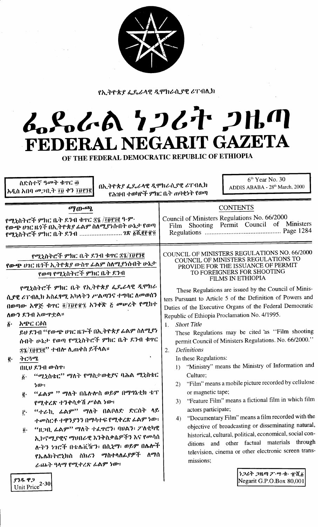

የኢትዮጵያ ፌዴራላዊ ዲሞክራሲያዊ ሪፐብሊክ

## L.S.L.A 7267 2HM FEDERAL NEGARIT GAZETA

OF THE FEDERAL DEMOCRATIC REPUBLIC OF ETHIOPIA

| ስድስተኛ ዓመት ቁዋር ፴<br>በኢትዮጵያ ፌዴራላዊ ዲሞክራሲያዊ ሪፐብሊክ<br>አዲስ አበባ መጋቢት ፲፱ ቀን ፲፱፻፺፪<br>የሕዝብ ተወካዮች ምክር ቤት ጠባቂነት የወጣ                                                                                                                                                                                                                                                                                                                                                                                                                                                                                                                                                                                                                                                        | $6th$ Year No. 30<br>ADDIS ABABA - 28th March, 2000                                                                                                                                                                                                                                                                                                                                                                                                                                                                                                                                                                                                                                                                                                                                                                                                                                                                                                                                                                                                |
|-----------------------------------------------------------------------------------------------------------------------------------------------------------------------------------------------------------------------------------------------------------------------------------------------------------------------------------------------------------------------------------------------------------------------------------------------------------------------------------------------------------------------------------------------------------------------------------------------------------------------------------------------------------------------------------------------------------------------------------------------------------------|----------------------------------------------------------------------------------------------------------------------------------------------------------------------------------------------------------------------------------------------------------------------------------------------------------------------------------------------------------------------------------------------------------------------------------------------------------------------------------------------------------------------------------------------------------------------------------------------------------------------------------------------------------------------------------------------------------------------------------------------------------------------------------------------------------------------------------------------------------------------------------------------------------------------------------------------------------------------------------------------------------------------------------------------------|
| ማውጫ<br>የሚኒስትሮች ምክር ቤት ደንብ ቁዋር ፳፯ /፲፱፻፺፪ ዓ·ም·<br>የውጭ ሀገር ዜጎች በኢትዮጵያ ፊልም ስለሚያነሱበት ሁኔታ የወጣ<br>የሚኒስትሮች ምክር ቤት ደንብ  1ጽ ፩ሺ፪፻፹፬<br>የሚኒስትሮች ምክር ቤት ደንብ ቁዋር ፳፯/፲፱፻፺፪<br>የውጭ ሀገር ዜጎች ኢትዮጵያ ውስዋ ፊልም ስለሚያነሱበት ሁኔታ                                                                                                                                                                                                                                                                                                                                                                                                                                                                                                                                                           | <b>CONTENTS</b><br>Council of Ministers Regulations No. 66/2000<br>Shooting Permit Council of Ministers<br>Film<br>COUNCIL OF MINISTERS REGULATIONS NO. 66/2000<br>COUNCIL OF MINISTERS REGULATIONS TO<br>PROVIDE FOR THE ISSUANCE OF PERMIT                                                                                                                                                                                                                                                                                                                                                                                                                                                                                                                                                                                                                                                                                                                                                                                                       |
| የወጣ የሚኒስትሮች ምክር ቤት ደንብ<br>የሚኒስትሮች ምክር ቤት የኢትዮጵያ ፌዴራላዊ ዲሞክራ<br>ሲያዊ ሪፐብሊክ አስፌፃሚ አካላትን ሥልጣንና ተግባር ለመወሰን<br>በወጣው አዋጅ ቁጥር ፬/፲፱፻፹፯ አንቀኛ ፩ መሠረት የሚከተ<br>ለውን ደንብ አውዋቷል።<br>አጭር ርዕስ<br>$\hat{b}$ .<br>ይህ ደንብ ''የውጭ ሀገር ዜጕች በኢትዮጵያ ፊልም ስለሚያነ<br>ሱበት ሁኔታ የወጣ የሚኒስትሮች ምክር ቤት ደንብ ቁዋር<br>#1/IDITE" ተብሎ ሊጠቀስ ይችላል።<br>ትርጓሜ<br>$\mathbf{g}$ .<br>በዚህ ደንብ ውስዋ፣<br>"ሚኒስቴር" ማለት የማስታወቂያና ባሕል ሚኒስቴር<br>$\vec{b}$ .<br>ነው።<br>"ፊልም '' ማለት በሴለ የ ወይም በማግኔቲክ ቴፕ<br>$\vec{e}$ .<br>የሚቀረጽ ተንቀሳቃሽ ሥዕል ነው።<br>"ተራኪ ፊልም" ማለት በልቦለድ ድርሰት ላይ<br>$\mathbf{r}$<br>ተመስርቶ ተዋንያንን በማሳተፍ የሚቀረጽ ፊልም ነው፣<br>"ዚጋቢ ፊልም" ማለት ተፈዋሮን፥ ባሀልን፥ ፖለቲካዊ<br>$\ddot{\mathbf{0}}$ .<br>ኢኮኖሚያዊና ማህበራዊ እንቅስቃሴዎችን እና የመሳሰ<br>ሉትን ነገሮች በቴሌቪዥን፥ በሲኒማ፥ ወይም በሌሎች<br>የኤሌክትሮኒክስ ስክሪን ማስተላለፊያዎች ለማሰ<br>ራጨት ዓላማ የሚቀረጽ ራልም ነው። | TO FOREIGNERS FOR SHOOTING<br><b>FILMS IN ETHIOPIA</b><br>These Regulations are issued by the Council of Minis-<br>ters Pursuant to Article 5 of the Definition of Powers and<br>Duties of the Executive Organs of the Federal Democratic<br>Republic of Ethiopia Proclamation No. 4/1995.<br><b>Short Title</b><br>1.<br>These Regulations may be cited 'as "Film shooting<br>permit Council of Ministers Regulations. No. 66/2000."<br><b>Definitions</b><br>2.<br>In these Regulations:<br>"Ministry" means the Ministry of Information and<br>$\mathbf{D}$<br>Culture;<br>"Film" means a mobile picture recorded by cellulose<br>2)<br>or magnetic tape;<br>"Feature Film" means a fictional film in which film<br>3)<br>actors participate;<br>"Documentary Film" means a film recorded with the<br>4)<br>objective of broadcasting or disseminating natural,<br>historical, cultural, political, economical, social con-<br>ditions and other factual materials through<br>television, cinema or other electronic screen trans-<br>missions; |
| የንዱ ዋጋ<br>Unit Price $2.30$                                                                                                                                                                                                                                                                                                                                                                                                                                                                                                                                                                                                                                                                                                                                     | ነጋሪት ጋዜጣ ፖ…ግ…ቁ… ፹ሺδ<br>Negarit G.P.O.Box 80,001                                                                                                                                                                                                                                                                                                                                                                                                                                                                                                                                                                                                                                                                                                                                                                                                                                                                                                                                                                                                    |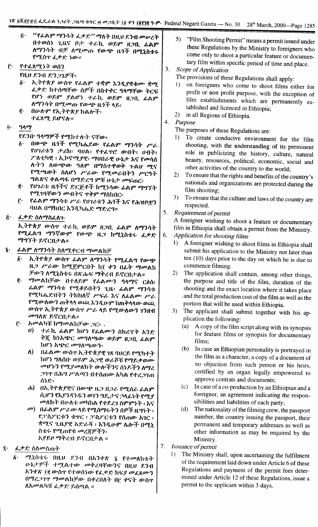- ''የራልም ማንሳት ፌቃደ<sup>ንን </sup>ማለት በዚህ ደንብ መሠረት  $\ddot{c}$ በተወሰነ ጊዜና ቦታ ተራኪ ወይም ዘጋቢ ፊልም ለማንሳት ብቻ ለሚመጡ የውጭ ዜጎች በሚኒስቴሩ የሚሰዋ ፌቃድ ነው።
- ŕ٠ የተፈጸሚነት ወሰን
	- የዚህ ደንብ ድንጋጌዎች:
	- ኢትዮጵያ ውስዋ የፊልም ተቋም እንዲያቋቁሙ ቋሚ  $\hat{b}$ . ፌቃድ ከተሰጣቸው ሰዎች በስተቀር ዓላማቸው ትርፍ የሆነ ወይም ያልሆነ ተራኪ ወይም ዘጋቢ ፊልም ለማንሳት በሚመጡ የውጭ ዜጎች ላይ፡
	- ë. በሁሉም የኢትዮጵያ ክልሎች: ተፈጸሚ ይሆናሉ።
- $\ddot{\boldsymbol{a}}$ .  $909$ 
	- የደንበ ዓላማዎች የሚከተሉት ናቸው።
	- ፩· በውጭ ዜጎች የሚካሔደው የፊልም ማንሳት ሥራ የሀገሪቱን ታሪክ፡ ባህል፡ የተፈዋሮ ውበት፣ ሀብት፡ ፖለቲካዊ ፡ ኢኮኖሚያዊ፡ ማህበራዊ ሁኔታ እና የመሳሰ ለ·ትን ለውጭው ዓለም በማስተዋወቅ ጉልሀ ሚና የሚጫወት ስለሆነ ሥራው የሚመራበትን ሥርዓት ግልጽና ቀልጣፋ በማድረግ ምቹ ሁኔታ መፍጠር፤
	- $\ddot{\mathbf{e}}$  . የሀገሪቱ ዜጎችና ድርጅቶች ከሚነሳው ፊልም ማግኘት የሚገባቸውን *መብትና* የቅም ማስከበር፡
	- የፊልም ማንሳቱ ሥራ የሀገሪቱን ሕጎች እና የሕዝቦቿን i٠. ባህል በማክበር እንዲካሔድ ማድረግ።
- $\ddot{G}$ ፌቃድ ስለማስፈለጉ

ኢትዮጵያ ውስዋ ተራኪ ወይም ዘጋቢ ፊልም ለማንሳት የሚፈልግ ማንኛውም የውጭ ዜጋ ከሚኒስቴሩ ፌቃድ ማግኘት ይኖርበታል።

- ፊልም ለማንሳት ስለሚቀርብ ማመልከቻ
	- ኢትዮጵያ ውስዋ ራልም ለማንሳት የሚፈልግ የውጭ δ. ዜጋ ሥራው ከሚጀምርበት ከ፲ ቀን በፊት ማመልክ ቻውን ለሚኒስቴሩ በጽሑፍ ማቅረብ ይኖርበታል።
	- ማመልከቻው በተለይም የፌልሙን ዓላማና ርዕስ፡ ë. ፊልም *ማ*ንሳቱ የሚቆይበትን ጊዜ፡ ፊልም ማንሳቱ የሚካሔድበትን ትክክለኛ ሥፍራ እና ለፊልሙ ሥራ የሚውለውን ጠቅላላ ወጨ እንዲሁም ከጠቅላላው ወጪ ውስዋ ኢትዮጵያ ውስዋ ሥራ ላይ የሚውለውን ገንዘብ መግለጸ ይኖርቢታል።
	- አመልካቹ ከማመልከቻው ጋር፡ . j÷.
		- $\boldsymbol{\theta}$ ተራኪ ፊልም ከሆነ የፊልሙን ስክሪፕት አንድ ቅጇ ከነአጭር መግለጫው ወይም ዘጋቢ ፊልም ከሆን አጭር መግለጫውን:
		- በፊልሙ ውስኖ ኢትዮጵያዊ ገጸ ባህርይ የሚካተት  $\Lambda$ ) ከሆነ ግለሰበ· ወይም ሕጋዊ ወራሾቹ የማይቃወሙ መሆኑን የሚያመለክት ውሎችንና ሰነዶችን ለማረ *ጋገ*ዋ በሕግ ሥልጣን በተሰጠው እካል የተረ*ጋገ*ጠ ሰንድ፣
		- ሐ) በኢትዮጵያዊና በውጭ ዜጋ በጋራ የሚሰራ ፊልም ሲሆን የእያንዳንዱን ወገን ግዴታታና ኃላፊነት የሚያ መለክት በሁለቱ መካከል የተደረገ ስምምነት ፡ እና
		- መ) በፊልም ሥራው ላይ የሚሰማሩትን ስዎች ዜግነት ፡ የፓስፖርቱን ቁዋር ፡ ፓስፖርቱን የሰጠው አገር ፡ ቋሚና ጊዜያዊ አድራሻ ፡ እንዲሁም ሴሎች በሚኒ ስቴሩ የሚጠየቁ መረጃዎችን: አያይዞ ማቅረብ ይኖርቢታል ።
- 7. *ፌ*ቃድ ስለመስጠት
	- ሚኒስቴሩ በዚህ ደንብ በእንቀጽ ፯ የተመለከቱት  $\ddot{\mathbf{b}}$ . ሁኔታዎች ተሟልተው መቅረባቸውንና በዚህ ደንብ አንቀጽ ፲፪ ውስዋ የተወሰነው የፌቃድ ክፍ*ያ መ*ፈጸሙን በማረጋገዋ ማመልከቻው በቀረበለት በ፫ ቀናት ውስዋ ለአመልካቹ ፌቃድ ይሰጣል ።
- "Film Shooting Permit" means a permit issued under  $\overline{5}$ these Regulations by the Ministry to foreigners who come only to shoot a particular feature or documentary film within specific period of time and place.
- $3<sub>1</sub>$ Scope of Application
	- The provisions of these Regulations shall apply:
	- on foreigners who come to shoot films either for  $\mathbf{D}$ profit or non profit purpose, with the exception of film establsihments which are permanently established and licenced in Ethiopia;
	- in all Regions of Ethiopia.  $2)$
- $4.$ Purpose
	- The purposes of these Regulations are:
	- To create conducive environment for the film  $\mathbf{D}$ shooting, with the understanding of its preminent role in publicizing the history, culture, natural beauty, resources, political, economic, social and other activities of the country to the world;
	- To ensure that the rights and benefits of the country's  $(2)$ nationals and organizations are protected during the film shooting;
	- $3)$ To ensure that the culture and laws of the country are respected.
- $5.$ Requirement of permit

A foreigner wishing to shoot a feature or documentary film in Ethiopia shall obtain a permit from the Ministry.

- 6. **Application for shooting films** 
	- 1) A foreigner wishing to shoot films in Ethiopia shall submit his application to the Ministry not later than ten (10) days prior to the day on which he is due to commence filming.
	- 2) The application shall contain, among other things, the purpose and title of the film, duration of the shooting and the exact location where it takes place and the total production cost of the film as well as the portion that will be used within Ethiopia.
	- The applicant shall submit together with his ap-3) plication the following:
		- A copy of the film script along with its synopsis  $(a)$ for feature films or synopsis for documentary films:
		- (b) In case an Ethiopian personality is portrayed in the film as a character, a copy of a document of no objection from such person or his heirs, certified by an organ legally empowered to approve contrats and documents;
		- In case of a co-production by an Ethiopian and a  $(c)$ foreigner, an agreement indicating the responsibilities and liabilities of each party;
		- The nationality of the filming crew, the passport  $(d)$ number, the country issuing the passport, their permanent and temporary addresses as well as other information as may be required by the Ministry.
- $7.$ Issuance of permit
	- $\mathbf{D}$ The Ministry shall, upon ascertaining the fulfilment of the requirement laid down under Article 6 of these Regulations and payment of the permit fees determined under Article 12 of these Regulations, issue a permit to the applicant within 3 days.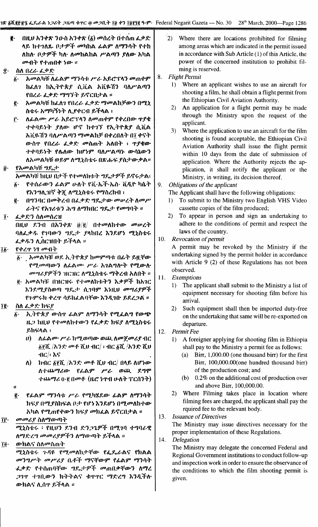|                                                                                                                                                                                      | <mark>1ጽ <u>δ</u>ሺያያቸን ፌዴራል <i>ነጋ</i>ሪት ጋዜጣ ቁጥር ፴ መጋቢት ፲፱ ቀን ፲፱፻፺፪ ዓ·ም· Federal Negarit Gazeta — No. 30 28<sup>th</sup> March, 2000—Page 1286</mark>                                                                                                                |
|--------------------------------------------------------------------------------------------------------------------------------------------------------------------------------------|---------------------------------------------------------------------------------------------------------------------------------------------------------------------------------------------------------------------------------------------------------------------|
| በዚሀ አንቀጽ ንውስ አንቀጽ $(\tilde{\mathfrak{g}})$ መሰረት በተሰጠ ፌቃድ<br>ğ.<br>ላይ ከተገለጹ ቦ <i>ታዎች መ</i> ካከል ፊልም ለማንሳት የተከ<br>ለከለ ቦታዎች ካለ ለመከልከል ሥልጣን ያለው አካል<br>መብት የተጠበቀ ነው ።<br>ስስ በረራ ፌቃድ<br>Î٠ | $\left(2\right)$<br>Where there are locations prohibited for filming<br>among areas which are indicated in the permit issued<br>in accordance with Sub Article (1) of this Article, the<br>power of the concerned institution to prohibit fil-<br>ming is reserved. |
| <i>አመ</i> ልካቹ ለፊልም ማንሳቱ ሥራ አይሮፕላን መጠቀም<br>$\ddot{\mathbf{v}}$ .                                                                                                                      | <b>Flight Permit</b><br>8.                                                                                                                                                                                                                                          |
| ከሬለን ከኢትዮጵያ ሲቪል አቪዬሽን ባለሥልጣን                                                                                                                                                         | 1) Where an applicant wishes to use an aircraft for                                                                                                                                                                                                                 |
| የበረራ ፌቃድ ማግኘት ይኖርበታል ።                                                                                                                                                               | shooting a film, he shall obtain a flight permit from                                                                                                                                                                                                               |
| አመልካቹ ከፌለን የበረራ ፌቃድ ማመልከቻውን በሚኒ<br>ĝ.                                                                                                                                                | the Ethiopian Civil Aviation Authority.                                                                                                                                                                                                                             |
| ስቴሩ አማካኝነት ሊያቀርብ ይችላል ፡                                                                                                                                                              | An application for a flight permit may be made<br>2)                                                                                                                                                                                                                |
| ለፊልሙ ሥራ አይሮፕላን ለመጠቀም የቀረበው ዋያቄ<br>Ë٠                                                                                                                                                 | through the Ministry upon the request of the                                                                                                                                                                                                                        |
| ተቀባይነት ያለው ሆኖ ከተገኘ የኢትዮጵያ ሲቪል                                                                                                                                                        | applicant.                                                                                                                                                                                                                                                          |
| አቪዬሽን ባለሥልጣን ማመልከቻ በቀረበለት በ፲ ቀናት                                                                                                                                                     | Where the application to use an aircraft for the film<br>3)                                                                                                                                                                                                         |
| ውስጥ የበረራ ፌቃድ መስጠት አለበት ፡ ጥያቄው                                                                                                                                                        | shooting is found acceptable, the Ethiopian Civil                                                                                                                                                                                                                   |
|                                                                                                                                                                                      | Aviation Authority shall issue the flight permit                                                                                                                                                                                                                    |
| ተቀባይነት የሴለው ከሆነም ባለሥልጣኑ ውሳኔውን                                                                                                                                                        | within 10 days from the date of submission of                                                                                                                                                                                                                       |
| ለአመልካቹ ወይም ለሚኒስቴሩ በጽሑፍ ያስታውቃል።                                                                                                                                                       | application. Where the Authority rejects the ap-                                                                                                                                                                                                                    |
| የአመልካቹ ግዴታ<br>į٠                                                                                                                                                                     | plication, it shall notify the applicant or the                                                                                                                                                                                                                     |
| አመልካቹ ከዚህ በታች የተመለከቱት ግዴታዎች ይኖሩታል፤                                                                                                                                                   | Ministry, in writing, its decision thereof.                                                                                                                                                                                                                         |
| የተሰራውን <i>ሌ</i> ልም ሁለት የቪ·ኤች·ኤስ· ቪዲዮ ካሴት<br>$\ddot{\bm{b}}$ .                                                                                                                        | 9.<br>Obligations of the applicant                                                                                                                                                                                                                                  |
| የእንግሊገነኛ ቅጇ ለሚኒስቴሩ የማስረከብ ፣                                                                                                                                                          | The Applicant shall have the following obligations:                                                                                                                                                                                                                 |
| በግንባር በመቅረብ በፌቃድ ግዴ ታው መሠረት ስመሥ<br>ë.                                                                                                                                                | To submit to the Ministry two English VHS Video<br>$\mathbf{D}$                                                                                                                                                                                                     |
| ራትና የአገሪቱን ሕግ ለማክበር ግዴታ የመግባት ።                                                                                                                                                      | cassette copies of the film produced;                                                                                                                                                                                                                               |
| ፌቃድን ስለመሰረዝ<br>Ĩ۰                                                                                                                                                                    | To appear in person and sign an undertaking to<br>2)                                                                                                                                                                                                                |
| በዚህ ደንብ በአንቀጽ $\ddot{\theta}/\ddot{\theta}/$ በተመለከተው መሠረት                                                                                                                            | adhere to the conditions of permit and respect the<br>laws of the country.                                                                                                                                                                                          |
| ባለፌቃዱ የንባውን ግዴታ ያላከበረ እንደሆነ ሚኒስቴሩ                                                                                                                                                    | <b>Revocation of permit</b><br>10.                                                                                                                                                                                                                                  |
| ፌቃዱን ሊሰርዝበት ይችላል ።                                                                                                                                                                   | A permit may be revoked by the Ministry if the                                                                                                                                                                                                                      |
| የቀረዋ ነፃ መብት<br>Ĩĝ∙                                                                                                                                                                   | undertaking signed by the permit holder in accordance                                                                                                                                                                                                               |
| ፩· _ እመልካቹ ወደ ኢትዮጵያ ከመምጣቱ በፊት ይዟቸው                                                                                                                                                   | with Article 9 (2) of these Regulations has not been                                                                                                                                                                                                                |
| የሚመጣውን ስራልሙ ሥራ አገልግሎት የሚውሉ                                                                                                                                                           | observed.                                                                                                                                                                                                                                                           |
| <i>መግሪያዎችን ገ</i> ዘርዝር ለሚኒስቴሩ ማቅረብ አለበት ።                                                                                                                                             | Exemptions<br>11.                                                                                                                                                                                                                                                   |
| g· አመልካቹ በዝርዝሩ የተመለከቱትን እቃዎች ከአገር                                                                                                                                                    | The applicant shall submit to the Ministry a list of<br>1)                                                                                                                                                                                                          |
| እንደሚያስወጣ ግዴታ ሲገባም እነዚህ መሣሪያዎች                                                                                                                                                        | equipment necessary for shooting film before his                                                                                                                                                                                                                    |
| የንምሩክ ቀረዋ ሳይከፌልባቸው እንዲገቡ ይደረጋል ።                                                                                                                                                     | arrival.                                                                                                                                                                                                                                                            |
| Îĝ∙<br>ስለ ፌቃድ ክፍያ                                                                                                                                                                    | Such equipment shall then be imported duty-free<br>2)                                                                                                                                                                                                               |
| ኢትዮጵያ ውስኖ ፊልም ለማንሳት የሚፈልግ የውጭ<br>$\ddot{\bm{b}}$ .                                                                                                                                   | on the undertaking that same will be re-exported on                                                                                                                                                                                                                 |
| ዜጋ ከዚህ የተመለከተውን የፌቃድ ክፍያ ለሚኒስቴሩ                                                                                                                                                      | departure.                                                                                                                                                                                                                                                          |
| ይከናላል ፡                                                                                                                                                                              | Permit Fee<br>12.                                                                                                                                                                                                                                                   |
| ለፊልሙ ሥራ ከሚወጣው ወጪ ለመጀመሪያ ብር<br>$\boldsymbol{\theta}$                                                                                                                                  | A foreigner applying for shooting film in Ethiopia<br>$\mathbf{D}$                                                                                                                                                                                                  |
| $\tilde{g}$ ጀሺ /አንድ መቶ ሺህ ብ $C/$ ፣ ብር $\tilde{g}$ ሺ /አንድ ሺህ                                                                                                                          | shall pay to the Ministry a permit fee as follows:                                                                                                                                                                                                                  |
| $\n  40$ ( $\lambda$ ና                                                                                                                                                               | Birr, 1,000.00 (one thousand birr) for the first<br>(a)                                                                                                                                                                                                             |
| $\Lambda$ )<br>ከብር ፩፻ሺ /አንድ መቶ ሺህ ብር/ በላይ ለሆነው                                                                                                                                       | Birr, 100,000.00(one hundred thousand birr)                                                                                                                                                                                                                         |
| ለተጨማሪው የፌልም ሥራ ወጪ ደግሞ                                                                                                                                                                | of the production cost; and                                                                                                                                                                                                                                         |
| $\cdot$ ተጨማሪ $0 \cdot$ ፪ በመቶ (ዜሮ ነጥብ ሁለት ፐርሰንት)                                                                                                                                      | (b) $0.2\%$ on the additional cost of production over                                                                                                                                                                                                               |
| - 95                                                                                                                                                                                 | and above Birr, 100,000.00.                                                                                                                                                                                                                                         |
| የፊልም ማንሳቱ ሥራ የሚካሄደው ፊልም ለማንሳት<br>ĝ.                                                                                                                                                  | Where Filming takes place in location where<br>2)                                                                                                                                                                                                                   |
| ክፍያ በሚያስከፍል ቦታ የሆነ እንደሆነ በሚመለከተው                                                                                                                                                     | filming fees are charged, the applicant shall pay the                                                                                                                                                                                                               |
| አካል የሚጠየቀውን ክፍያ መክፈል ይኖርበታል ፡፡                                                                                                                                                       | rquired fee to the relevant body.                                                                                                                                                                                                                                   |
| መመሪያ ስለማውጣት<br>ÎΓ.                                                                                                                                                                   | <b>Issuance of Directives</b><br>13.<br>The Ministry may issue directives necessary for the                                                                                                                                                                         |

ሚኒስቴሩ ፡ የዚህን ደንብ ድን*ጋጌዎች በሚገ*ባ ተግባራዊ *i\1I'/*,f:lo, (JDoPt.,t'sP"}"'} *i\1I'/m.fIJ'-"* ,e."fl\A ::

*m.hAl; ili\oPilm')' I~'*

*ሚኒ*ስቴሩ ጉዳዩ የሚመለከታቸው የፌዴራልና የክልል oP1°IP"} oPP't.,t' n.'Y:'}" *II'/fiTOJ-9"* fLA9" *11'/1"'-" .ፌ*ቃድ የተሰጠባቸው ግዴ,ታዎች መጠበቃቸውን ለማረ *;11""* "",n,m'1 *h')"h~\C;* '1:'I''I'e *OI/Y:l.., h1.&t"fi\' m'h/.\ l; i\.(}",'* ,e."}"I\A ::

14. *Delegation* The Ministry may delegate the concerned Federal and Regional Government institutions to conduct follow-up and inspection work in order to ensure the observance of the conditions to which the film shooting permit is given.

The Ministry may issue directives necessary for the

proper implementation of these Regulations.